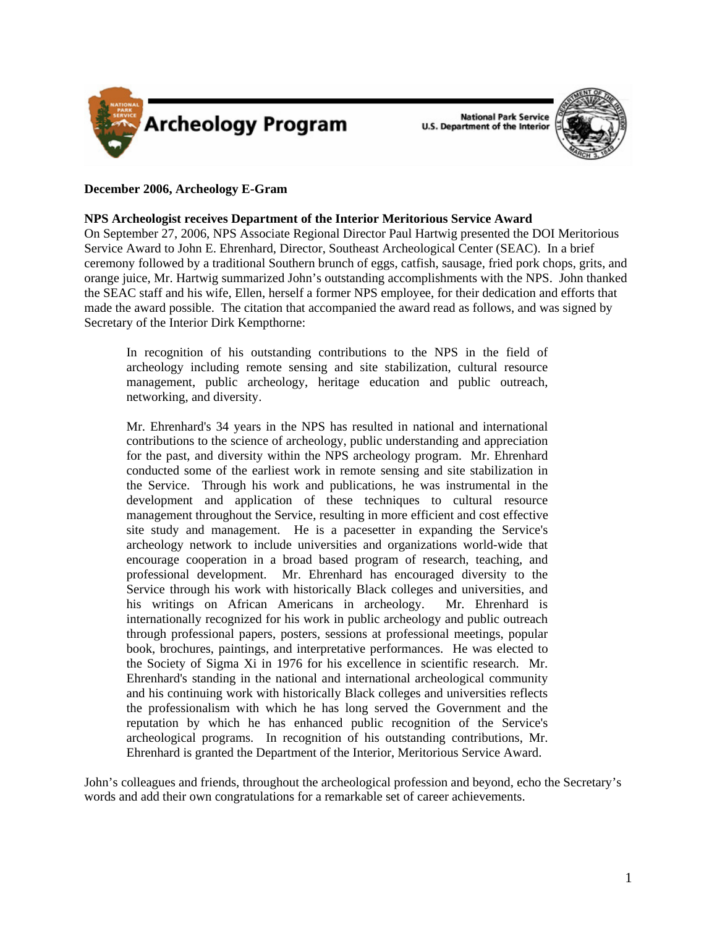

**National Park Service U.S. Department of the Interior** 



### **December 2006, Archeology E-Gram**

**NPS Archeologist receives Department of the Interior Meritorious Service Award** 

On September 27, 2006, NPS Associate Regional Director Paul Hartwig presented the DOI Meritorious Service Award to John E. Ehrenhard, Director, Southeast Archeological Center (SEAC). In a brief ceremony followed by a traditional Southern brunch of eggs, catfish, sausage, fried pork chops, grits, and orange juice, Mr. Hartwig summarized John's outstanding accomplishments with the NPS. John thanked the SEAC staff and his wife, Ellen, herself a former NPS employee, for their dedication and efforts that made the award possible. The citation that accompanied the award read as follows, and was signed by Secretary of the Interior Dirk Kempthorne:

In recognition of his outstanding contributions to the NPS in the field of archeology including remote sensing and site stabilization, cultural resource management, public archeology, heritage education and public outreach, networking, and diversity.

Mr. Ehrenhard's 34 years in the NPS has resulted in national and international contributions to the science of archeology, public understanding and appreciation for the past, and diversity within the NPS archeology program. Mr. Ehrenhard conducted some of the earliest work in remote sensing and site stabilization in the Service. Through his work and publications, he was instrumental in the development and application of these techniques to cultural resource management throughout the Service, resulting in more efficient and cost effective site study and management. He is a pacesetter in expanding the Service's archeology network to include universities and organizations world-wide that encourage cooperation in a broad based program of research, teaching, and professional development. Mr. Ehrenhard has encouraged diversity to the Service through his work with historically Black colleges and universities, and his writings on African Americans in archeology. Mr. Ehrenhard is internationally recognized for his work in public archeology and public outreach through professional papers, posters, sessions at professional meetings, popular book, brochures, paintings, and interpretative performances. He was elected to the Society of Sigma Xi in 1976 for his excellence in scientific research. Mr. Ehrenhard's standing in the national and international archeological community and his continuing work with historically Black colleges and universities reflects the professionalism with which he has long served the Government and the reputation by which he has enhanced public recognition of the Service's archeological programs. In recognition of his outstanding contributions, Mr. Ehrenhard is granted the Department of the Interior, Meritorious Service Award.

John's colleagues and friends, throughout the archeological profession and beyond, echo the Secretary's words and add their own congratulations for a remarkable set of career achievements.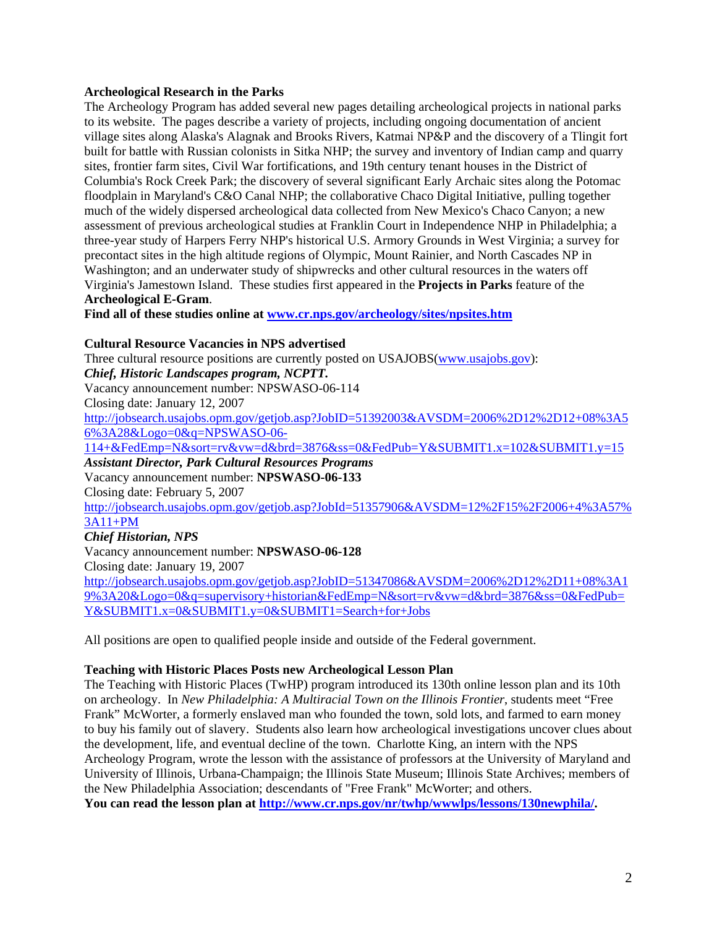### **Archeological Research in the Parks**

The Archeology Program has added several new pages detailing archeological projects in national parks to its website. The pages describe a variety of projects, including ongoing documentation of ancient village sites along Alaska's Alagnak and Brooks Rivers, Katmai NP&P and the discovery of a Tlingit fort built for battle with Russian colonists in Sitka NHP; the survey and inventory of Indian camp and quarry sites, frontier farm sites, Civil War fortifications, and 19th century tenant houses in the District of Columbia's Rock Creek Park; the discovery of several significant Early Archaic sites along the Potomac floodplain in Maryland's C&O Canal NHP; the collaborative Chaco Digital Initiative, pulling together much of the widely dispersed archeological data collected from New Mexico's Chaco Canyon; a new assessment of previous archeological studies at Franklin Court in Independence NHP in Philadelphia; a three-year study of Harpers Ferry NHP's historical U.S. Armory Grounds in West Virginia; a survey for precontact sites in the high altitude regions of Olympic, Mount Rainier, and North Cascades NP in Washington; and an underwater study of shipwrecks and other cultural resources in the waters off Virginia's Jamestown Island. These studies first appeared in the **Projects in Parks** feature of the **Archeological E-Gram**.

**Find all of these studies online at [www.cr.nps.gov/archeology/sites/npsites.htm](http://www.cr.nps.gov/archeology/sites/npsites.htm)**

#### **Cultural Resource Vacancies in NPS advertised**

Three cultural resource positions are currently posted on USAJOBS[\(www.usajobs.gov](http://www.usajobs.gov)): *Chief, Historic Landscapes program, NCPTT.*  Vacancy announcement number: NPSWASO-06-114 Closing date: January 12, 2007 [http://jobsearch.usajobs.opm.gov/getjob.asp?JobID=51392003&AVSDM=2006%2D12%2D12+08%3A5](http://jobsearch.usajobs.opm.gov/getjob.asp?JobID=51392003&AVSDM=2006%2D12%2D12+08%3A56%3A28&Logo=0&q=NPSWASO-06-114+&FedEmp=N&sort=rv&vw=d&brd=3876&ss=0&FedPub=Y&SUBMIT1.x=102&SUBMIT1.y=15) 6%3A28&Logo=0&q=NPSWASO-06- 114+&FedEmp=N&sort=rv&vw=d&brd=3876&ss=0&FedPub=Y&SUBMIT1.x=102&SUBMIT1.y=15 *Assistant Director, Park Cultural Resources Programs*  Vacancy announcement number: **NPSWASO-06-133** Closing date: February 5, 2007 [http://jobsearch.usajobs.opm.gov/getjob.asp?JobId=51357906&AVSDM=12%2F15%2F2006+4%3A57%](http://jobsearch.usajobs.opm.gov/getjob.asp?JobId=51357906&AVSDM=12%2F15%2F2006+4%3A57%3A11+PM) 3A11+PM *Chief Historian, NPS*  Vacancy announcement number: **NPSWASO-06-128** Closing date: January 19, 2007 [http://jobsearch.usajobs.opm.gov/getjob.asp?JobID=51347086&AVSDM=2006%2D12%2D11+08%3A1](http://jobsearch.usajobs.opm.gov/getjob.asp?JobID=51347086&AVSDM=2006%2D12%2D11+08%3A19%3A20&Logo=0&q=supervisory+historian&FedEmp=N&sort=rv&vw=d&brd=3876&ss=0&FedPub=Y&SUBMIT1.x=0&SUBMIT1.y=0&SUBMIT1=Search+for+Jobs) 9%3A20&Logo=0&q=supervisory+historian&FedEmp=N&sort=rv&vw=d&brd=3876&ss=0&FedPub= Y&SUBMIT1.x=0&SUBMIT1.y=0&SUBMIT1=Search+for+Jobs

All positions are open to qualified people inside and outside of the Federal government.

#### **Teaching with Historic Places Posts new Archeological Lesson Plan**

The Teaching with Historic Places (TwHP) program introduced its 130th online lesson plan and its 10th on archeology. In *New Philadelphia: A Multiracial Town on the Illinois Frontier*, students meet "Free Frank" McWorter, a formerly enslaved man who founded the town, sold lots, and farmed to earn money to buy his family out of slavery. Students also learn how archeological investigations uncover clues about the development, life, and eventual decline of the town. Charlotte King, an intern with the NPS Archeology Program, wrote the lesson with the assistance of professors at the University of Maryland and University of Illinois, Urbana-Champaign; the Illinois State Museum; Illinois State Archives; members of the New Philadelphia Association; descendants of "Free Frank" McWorter; and others. **You can read the lesson plan at [http://www.cr.nps.gov/nr/twhp/wwwlps/lessons/130newphila/.](http://www.cr.nps.gov/nr/twhp/wwwlps/lessons/130newphila/)**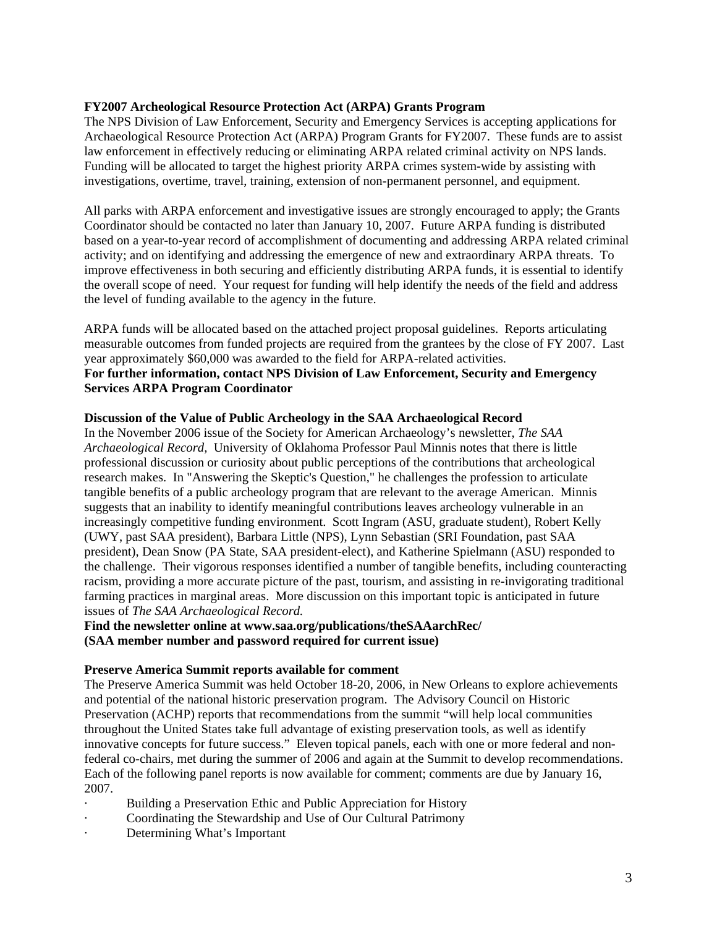## **FY2007 Archeological Resource Protection Act (ARPA) Grants Program**

The NPS Division of Law Enforcement, Security and Emergency Services is accepting applications for Archaeological Resource Protection Act (ARPA) Program Grants for FY2007. These funds are to assist law enforcement in effectively reducing or eliminating ARPA related criminal activity on NPS lands. Funding will be allocated to target the highest priority ARPA crimes system-wide by assisting with investigations, overtime, travel, training, extension of non-permanent personnel, and equipment.

All parks with ARPA enforcement and investigative issues are strongly encouraged to apply; the Grants Coordinator should be contacted no later than January 10, 2007. Future ARPA funding is distributed based on a year-to-year record of accomplishment of documenting and addressing ARPA related criminal activity; and on identifying and addressing the emergence of new and extraordinary ARPA threats. To improve effectiveness in both securing and efficiently distributing ARPA funds, it is essential to identify the overall scope of need. Your request for funding will help identify the needs of the field and address the level of funding available to the agency in the future.

ARPA funds will be allocated based on the attached project proposal guidelines. Reports articulating measurable outcomes from funded projects are required from the grantees by the close of FY 2007. Last year approximately \$60,000 was awarded to the field for ARPA-related activities. **For further information, contact NPS Division of Law Enforcement, Security and Emergency Services ARPA Program Coordinator** 

### **Discussion of the Value of Public Archeology in the SAA Archaeological Record**

In the November 2006 issue of the Society for American Archaeology's newsletter, *The SAA Archaeological Record,* University of Oklahoma Professor Paul Minnis notes that there is little professional discussion or curiosity about public perceptions of the contributions that archeological research makes. In "Answering the Skeptic's Question," he challenges the profession to articulate tangible benefits of a public archeology program that are relevant to the average American. Minnis suggests that an inability to identify meaningful contributions leaves archeology vulnerable in an increasingly competitive funding environment. Scott Ingram (ASU, graduate student), Robert Kelly (UWY, past SAA president), Barbara Little (NPS), Lynn Sebastian (SRI Foundation, past SAA president), Dean Snow (PA State, SAA president-elect), and Katherine Spielmann (ASU) responded to the challenge. Their vigorous responses identified a number of tangible benefits, including counteracting racism, providing a more accurate picture of the past, tourism, and assisting in re-invigorating traditional farming practices in marginal areas. More discussion on this important topic is anticipated in future issues of *The SAA Archaeological Record.* 

**Find the newsletter online at www.saa.org/publications/theSAAarchRec/ (SAA member number and password required for current issue)** 

### **Preserve America Summit reports available for comment**

The Preserve America Summit was held October 18-20, 2006, in New Orleans to explore achievements and potential of the national historic preservation program. The Advisory Council on Historic Preservation (ACHP) reports that recommendations from the summit "will help local communities throughout the United States take full advantage of existing preservation tools, as well as identify innovative concepts for future success." Eleven topical panels, each with one or more federal and nonfederal co-chairs, met during the summer of 2006 and again at the Summit to develop recommendations. Each of the following panel reports is now available for comment; comments are due by January 16, 2007.

- Building a Preservation Ethic and Public Appreciation for History
- Coordinating the Stewardship and Use of Our Cultural Patrimony
- Determining What's Important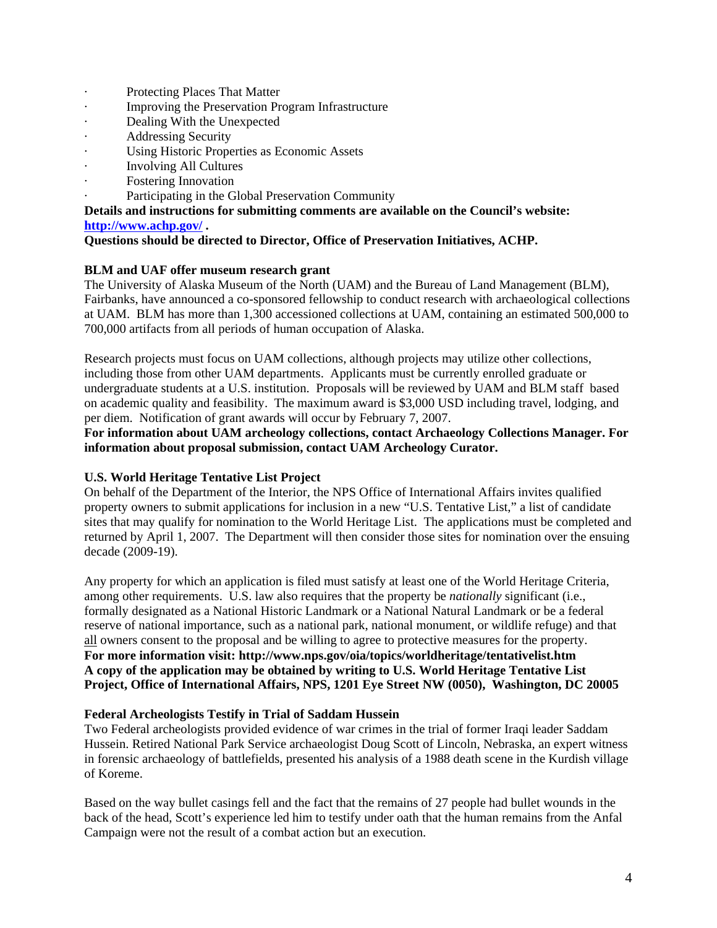- Protecting Places That Matter
- · Improving the Preservation Program Infrastructure
- Dealing With the Unexpected
- · Addressing Security
- · Using Historic Properties as Economic Assets
- · Involving All Cultures
- Fostering Innovation
- Participating in the Global Preservation Community

## **Details and instructions for submitting comments are available on the Council's website: <http://www.achp.gov/>.**

## **Questions should be directed to Director, Office of Preservation Initiatives, ACHP.**

## **BLM and UAF offer museum research grant**

The University of Alaska Museum of the North (UAM) and the Bureau of Land Management (BLM), Fairbanks, have announced a co-sponsored fellowship to conduct research with archaeological collections at UAM. BLM has more than 1,300 accessioned collections at UAM, containing an estimated 500,000 to 700,000 artifacts from all periods of human occupation of Alaska.

Research projects must focus on UAM collections, although projects may utilize other collections, including those from other UAM departments. Applicants must be currently enrolled graduate or undergraduate students at a U.S. institution. Proposals will be reviewed by UAM and BLM staff based on academic quality and feasibility. The maximum award is \$3,000 USD including travel, lodging, and per diem. Notification of grant awards will occur by February 7, 2007.

## **For information about UAM archeology collections, contact Archaeology Collections Manager. For information about proposal submission, contact UAM Archeology Curator.**

# **U.S. World Heritage Tentative List Project**

On behalf of the Department of the Interior, the NPS Office of International Affairs invites qualified property owners to submit applications for inclusion in a new "U.S. Tentative List," a list of candidate sites that may qualify for nomination to the World Heritage List. The applications must be completed and returned by April 1, 2007. The Department will then consider those sites for nomination over the ensuing decade (2009-19).

Any property for which an application is filed must satisfy at least one of the World Heritage Criteria, among other requirements. U.S. law also requires that the property be *nationally* significant (i.e., formally designated as a National Historic Landmark or a National Natural Landmark or be a federal reserve of national importance, such as a national park, national monument, or wildlife refuge) and that all owners consent to the proposal and be willing to agree to protective measures for the property. **For more information visit: http://www.nps.gov/oia/topics/worldheritage/tentativelist.htm A copy of the application may be obtained by writing to U.S. World Heritage Tentative List Project, Office of International Affairs, NPS, 1201 Eye Street NW (0050), Washington, DC 20005**

## **Federal Archeologists Testify in Trial of Saddam Hussein**

Two Federal archeologists provided evidence of war crimes in the trial of former Iraqi leader Saddam Hussein. Retired National Park Service archaeologist Doug Scott of Lincoln, Nebraska, an expert witness in forensic archaeology of battlefields, presented his analysis of a 1988 death scene in the Kurdish village of Koreme.

Based on the way bullet casings fell and the fact that the remains of 27 people had bullet wounds in the back of the head, Scott's experience led him to testify under oath that the human remains from the Anfal Campaign were not the result of a combat action but an execution.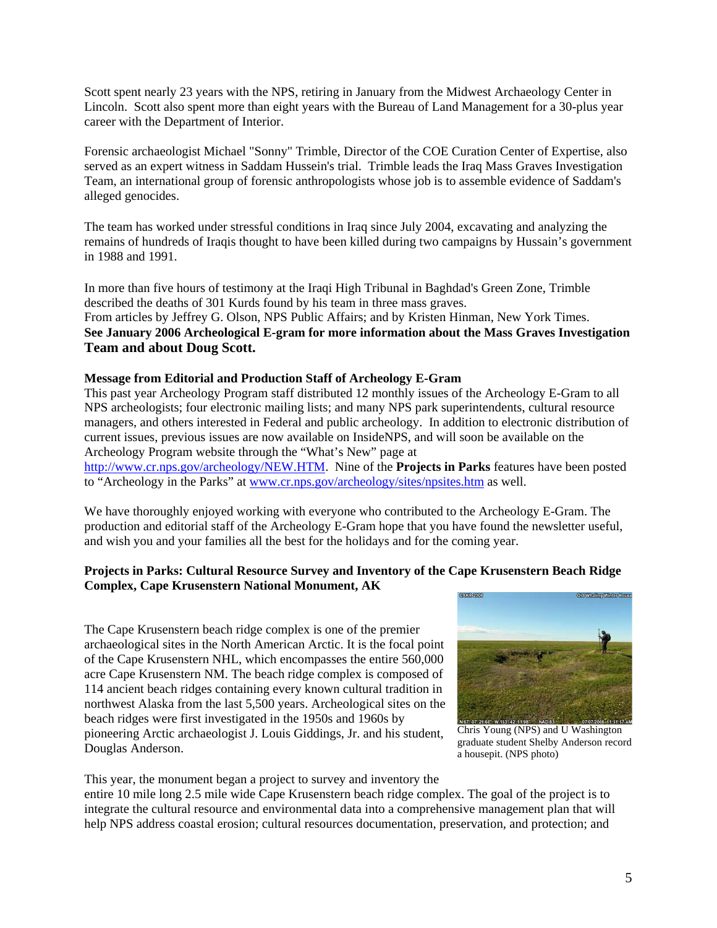Scott spent nearly 23 years with the NPS, retiring in January from the Midwest Archaeology Center in Lincoln. Scott also spent more than eight years with the Bureau of Land Management for a 30-plus year career with the Department of Interior.

Forensic archaeologist Michael "Sonny" Trimble, Director of the COE Curation Center of Expertise, also served as an expert witness in Saddam Hussein's trial. Trimble leads the Iraq Mass Graves Investigation Team, an international group of forensic anthropologists whose job is to assemble evidence of Saddam's alleged genocides.

The team has worked under stressful conditions in Iraq since July 2004, excavating and analyzing the remains of hundreds of Iraqis thought to have been killed during two campaigns by Hussain's government in 1988 and 1991.

In more than five hours of testimony at the Iraqi High Tribunal in Baghdad's Green Zone, Trimble described the deaths of 301 Kurds found by his team in three mass graves. From articles by Jeffrey G. Olson, NPS Public Affairs; and by Kristen Hinman, New York Times. **See January 2006 Archeological E-gram for more information about the Mass Graves Investigation Team and about Doug Scott.**

#### **Message from Editorial and Production Staff of Archeology E-Gram**

This past year Archeology Program staff distributed 12 monthly issues of the Archeology E-Gram to all NPS archeologists; four electronic mailing lists; and many NPS park superintendents, cultural resource managers, and others interested in Federal and public archeology. In addition to electronic distribution of current issues, previous issues are now available on InsideNPS, and will soon be available on the Archeology Program website through the "What's New" page at [http://www.cr.nps.gov/archeology/NEW.HTM.](http://www.cr.nps.gov/archeology/NEW.HTM) Nine of the **Projects in Parks** features have been posted to "Archeology in the Parks" at [www.cr.nps.gov/archeology/sites/npsites.htm](http://www.cr.nps.gov/archeology/sites/npsites.htm) as well.

We have thoroughly enjoyed working with everyone who contributed to the Archeology E-Gram. The production and editorial staff of the Archeology E-Gram hope that you have found the newsletter useful, and wish you and your families all the best for the holidays and for the coming year.

### **Projects in Parks: Cultural Resource Survey and Inventory of the Cape Krusenstern Beach Ridge Complex, Cape Krusenstern National Monument, AK**

The Cape Krusenstern beach ridge complex is one of the premier archaeological sites in the North American Arctic. It is the focal point of the Cape Krusenstern NHL, which encompasses the entire 560,000 acre Cape Krusenstern NM. The beach ridge complex is composed of 114 ancient beach ridges containing every known cultural tradition in northwest Alaska from the last 5,500 years. Archeological sites on the beach ridges were first investigated in the 1950s and 1960s by pioneering Arctic archaeologist J. Louis Giddings, Jr. and his student, Douglas Anderson.



Chris Young (NPS) and U Washington graduate student Shelby Anderson record a housepit. (NPS photo)

This year, the monument began a project to survey and inventory the

entire 10 mile long 2.5 mile wide Cape Krusenstern beach ridge complex. The goal of the project is to integrate the cultural resource and environmental data into a comprehensive management plan that will help NPS address coastal erosion; cultural resources documentation, preservation, and protection; and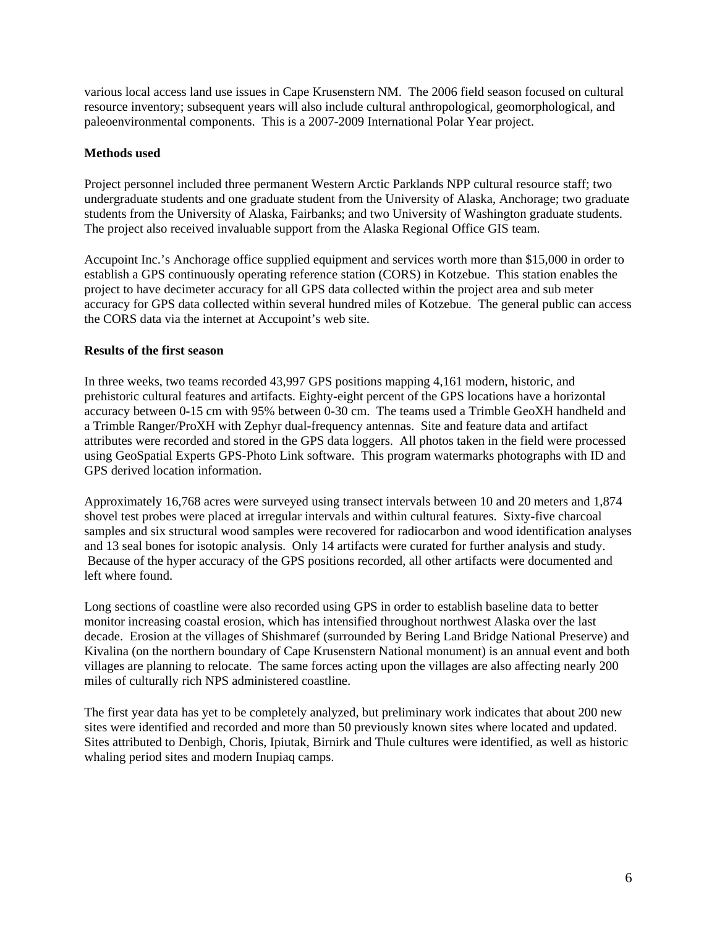various local access land use issues in Cape Krusenstern NM. The 2006 field season focused on cultural resource inventory; subsequent years will also include cultural anthropological, geomorphological, and paleoenvironmental components. This is a 2007-2009 International Polar Year project.

### **Methods used**

Project personnel included three permanent Western Arctic Parklands NPP cultural resource staff; two undergraduate students and one graduate student from the University of Alaska, Anchorage; two graduate students from the University of Alaska, Fairbanks; and two University of Washington graduate students. The project also received invaluable support from the Alaska Regional Office GIS team.

Accupoint Inc.'s Anchorage office supplied equipment and services worth more than \$15,000 in order to establish a GPS continuously operating reference station (CORS) in Kotzebue. This station enables the project to have decimeter accuracy for all GPS data collected within the project area and sub meter accuracy for GPS data collected within several hundred miles of Kotzebue. The general public can access the CORS data via the internet at Accupoint's web site.

## **Results of the first season**

In three weeks, two teams recorded 43,997 GPS positions mapping 4,161 modern, historic, and prehistoric cultural features and artifacts. Eighty-eight percent of the GPS locations have a horizontal accuracy between 0-15 cm with 95% between 0-30 cm. The teams used a Trimble GeoXH handheld and a Trimble Ranger/ProXH with Zephyr dual-frequency antennas. Site and feature data and artifact attributes were recorded and stored in the GPS data loggers. All photos taken in the field were processed using GeoSpatial Experts GPS-Photo Link software. This program watermarks photographs with ID and GPS derived location information.

Approximately 16,768 acres were surveyed using transect intervals between 10 and 20 meters and 1,874 shovel test probes were placed at irregular intervals and within cultural features. Sixty-five charcoal samples and six structural wood samples were recovered for radiocarbon and wood identification analyses and 13 seal bones for isotopic analysis. Only 14 artifacts were curated for further analysis and study. Because of the hyper accuracy of the GPS positions recorded, all other artifacts were documented and left where found.

Long sections of coastline were also recorded using GPS in order to establish baseline data to better monitor increasing coastal erosion, which has intensified throughout northwest Alaska over the last decade. Erosion at the villages of Shishmaref (surrounded by Bering Land Bridge National Preserve) and Kivalina (on the northern boundary of Cape Krusenstern National monument) is an annual event and both villages are planning to relocate. The same forces acting upon the villages are also affecting nearly 200 miles of culturally rich NPS administered coastline.

The first year data has yet to be completely analyzed, but preliminary work indicates that about 200 new sites were identified and recorded and more than 50 previously known sites where located and updated. Sites attributed to Denbigh, Choris, Ipiutak, Birnirk and Thule cultures were identified, as well as historic whaling period sites and modern Inupiaq camps.